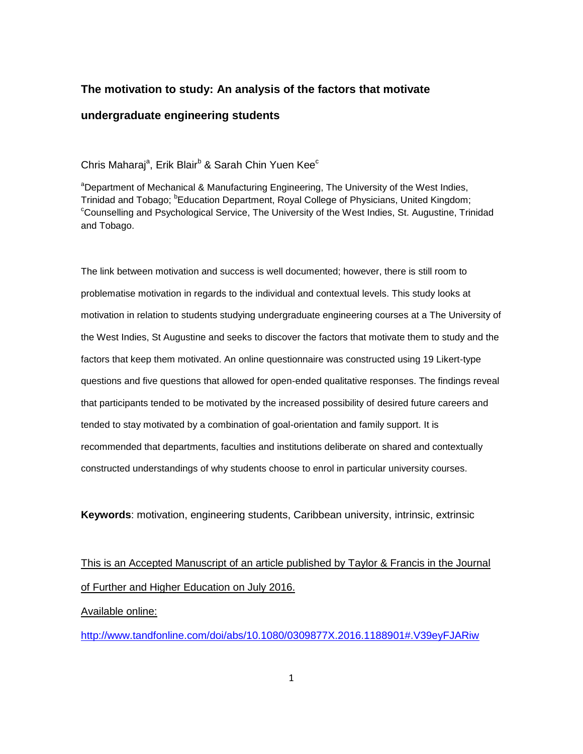# **The motivation to study: An analysis of the factors that motivate**

## **undergraduate engineering students**

Chris Maharaj<sup>a</sup>, Erik Blair<sup>b</sup> & Sarah Chin Yuen Kee<sup>c</sup>

<sup>a</sup>Department of Mechanical & Manufacturing Engineering, The University of the West Indies, Trinidad and Tobago; <sup>b</sup>Education Department, Royal College of Physicians, United Kingdom; <sup>c</sup>Counselling and Psychological Service, The University of the West Indies, St. Augustine, Trinidad and Tobago.

The link between motivation and success is well documented; however, there is still room to problematise motivation in regards to the individual and contextual levels. This study looks at motivation in relation to students studying undergraduate engineering courses at a The University of the West Indies, St Augustine and seeks to discover the factors that motivate them to study and the factors that keep them motivated. An online questionnaire was constructed using 19 Likert-type questions and five questions that allowed for open-ended qualitative responses. The findings reveal that participants tended to be motivated by the increased possibility of desired future careers and tended to stay motivated by a combination of goal-orientation and family support. It is recommended that departments, faculties and institutions deliberate on shared and contextually constructed understandings of why students choose to enrol in particular university courses.

**Keywords**: motivation, engineering students, Caribbean university, intrinsic, extrinsic

This is an Accepted Manuscript of an article published by Taylor & Francis in the Journal of Further and Higher Education on July 2016.

Available online:

<http://www.tandfonline.com/doi/abs/10.1080/0309877X.2016.1188901#.V39eyFJARiw>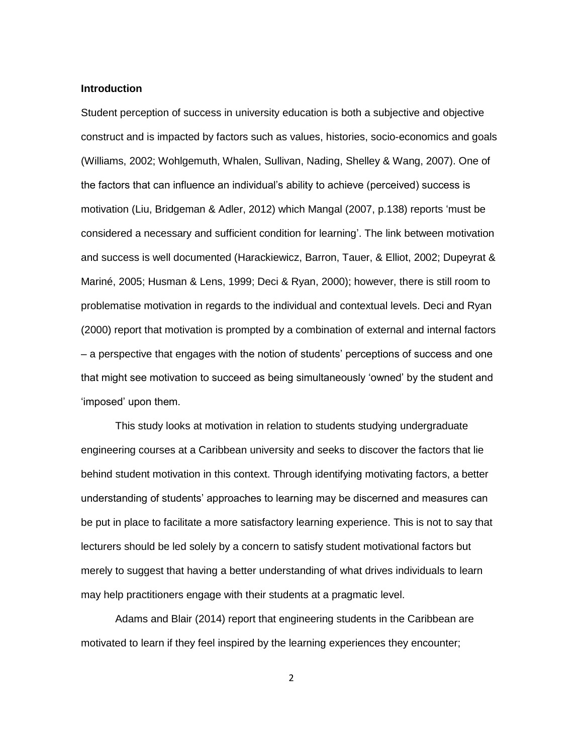### **Introduction**

Student perception of success in university education is both a subjective and objective construct and is impacted by factors such as values, histories, socio-economics and goals (Williams, 2002; Wohlgemuth, Whalen, Sullivan, Nading, Shelley & Wang, 2007). One of the factors that can influence an individual's ability to achieve (perceived) success is motivation (Liu, Bridgeman & Adler, 2012) which Mangal (2007, p.138) reports 'must be considered a necessary and sufficient condition for learning'. The link between motivation and success is well documented (Harackiewicz, Barron, Tauer, & Elliot, 2002; Dupeyrat & Mariné, 2005; Husman & Lens, 1999; Deci & Ryan, 2000); however, there is still room to problematise motivation in regards to the individual and contextual levels. Deci and Ryan (2000) report that motivation is prompted by a combination of external and internal factors – a perspective that engages with the notion of students' perceptions of success and one that might see motivation to succeed as being simultaneously 'owned' by the student and 'imposed' upon them.

This study looks at motivation in relation to students studying undergraduate engineering courses at a Caribbean university and seeks to discover the factors that lie behind student motivation in this context. Through identifying motivating factors, a better understanding of students' approaches to learning may be discerned and measures can be put in place to facilitate a more satisfactory learning experience. This is not to say that lecturers should be led solely by a concern to satisfy student motivational factors but merely to suggest that having a better understanding of what drives individuals to learn may help practitioners engage with their students at a pragmatic level.

Adams and Blair (2014) report that engineering students in the Caribbean are motivated to learn if they feel inspired by the learning experiences they encounter;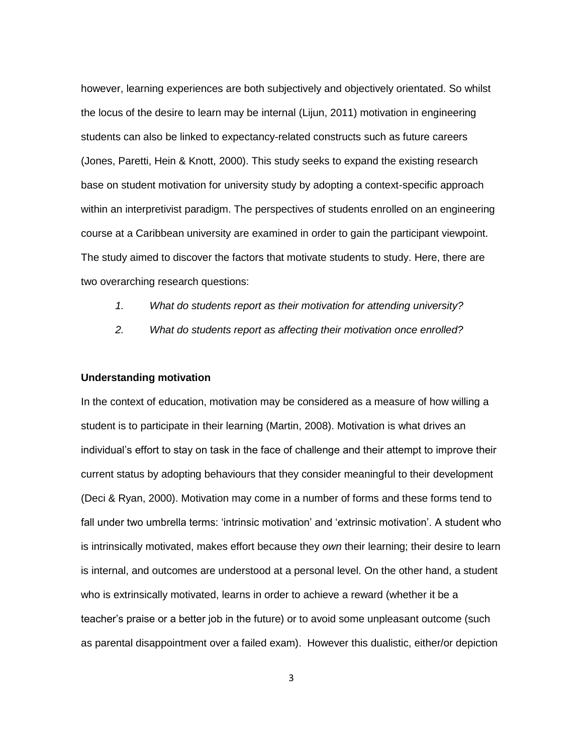however, learning experiences are both subjectively and objectively orientated. So whilst the locus of the desire to learn may be internal (Lijun, 2011) motivation in engineering students can also be linked to expectancy-related constructs such as future careers (Jones, Paretti, Hein & Knott, 2000). This study seeks to expand the existing research base on student motivation for university study by adopting a context-specific approach within an interpretivist paradigm. The perspectives of students enrolled on an engineering course at a Caribbean university are examined in order to gain the participant viewpoint. The study aimed to discover the factors that motivate students to study. Here, there are two overarching research questions:

- *1. What do students report as their motivation for attending university?*
- *2. What do students report as affecting their motivation once enrolled?*

### **Understanding motivation**

In the context of education, motivation may be considered as a measure of how willing a student is to participate in their learning (Martin, 2008). Motivation is what drives an individual's effort to stay on task in the face of challenge and their attempt to improve their current status by adopting behaviours that they consider meaningful to their development (Deci & Ryan, 2000). Motivation may come in a number of forms and these forms tend to fall under two umbrella terms: 'intrinsic motivation' and 'extrinsic motivation'. A student who is intrinsically motivated, makes effort because they *own* their learning; their desire to learn is internal, and outcomes are understood at a personal level. On the other hand, a student who is extrinsically motivated, learns in order to achieve a reward (whether it be a teacher's praise or a better job in the future) or to avoid some unpleasant outcome (such as parental disappointment over a failed exam). However this dualistic, either/or depiction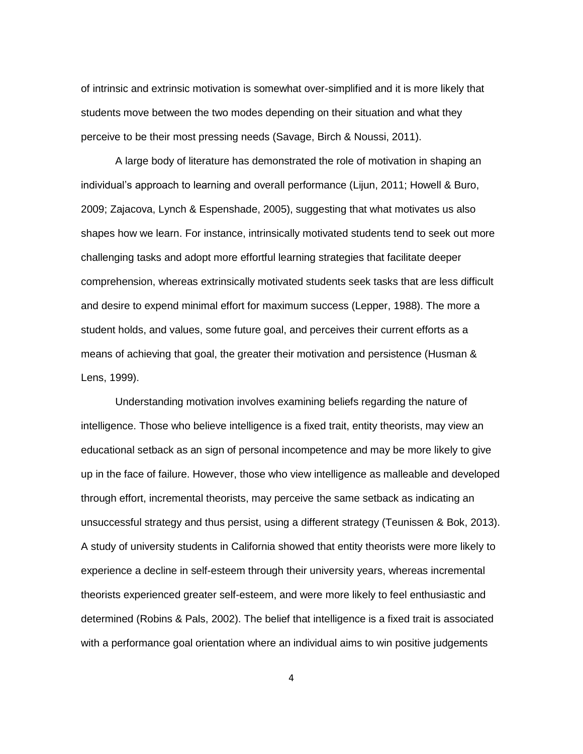of intrinsic and extrinsic motivation is somewhat over-simplified and it is more likely that students move between the two modes depending on their situation and what they perceive to be their most pressing needs (Savage, Birch & Noussi, 2011).

A large body of literature has demonstrated the role of motivation in shaping an individual's approach to learning and overall performance (Lijun, 2011; Howell & Buro, 2009; Zajacova, Lynch & Espenshade, 2005), suggesting that what motivates us also shapes how we learn. For instance, intrinsically motivated students tend to seek out more challenging tasks and adopt more effortful learning strategies that facilitate deeper comprehension, whereas extrinsically motivated students seek tasks that are less difficult and desire to expend minimal effort for maximum success (Lepper, 1988). The more a student holds, and values, some future goal, and perceives their current efforts as a means of achieving that goal, the greater their motivation and persistence (Husman & Lens, 1999).

Understanding motivation involves examining beliefs regarding the nature of intelligence. Those who believe intelligence is a fixed trait, entity theorists, may view an educational setback as an sign of personal incompetence and may be more likely to give up in the face of failure. However, those who view intelligence as malleable and developed through effort, incremental theorists, may perceive the same setback as indicating an unsuccessful strategy and thus persist, using a different strategy (Teunissen & Bok, 2013). A study of university students in California showed that entity theorists were more likely to experience a decline in self-esteem through their university years, whereas incremental theorists experienced greater self-esteem, and were more likely to feel enthusiastic and determined (Robins & Pals, 2002). The belief that intelligence is a fixed trait is associated with a performance goal orientation where an individual aims to win positive judgements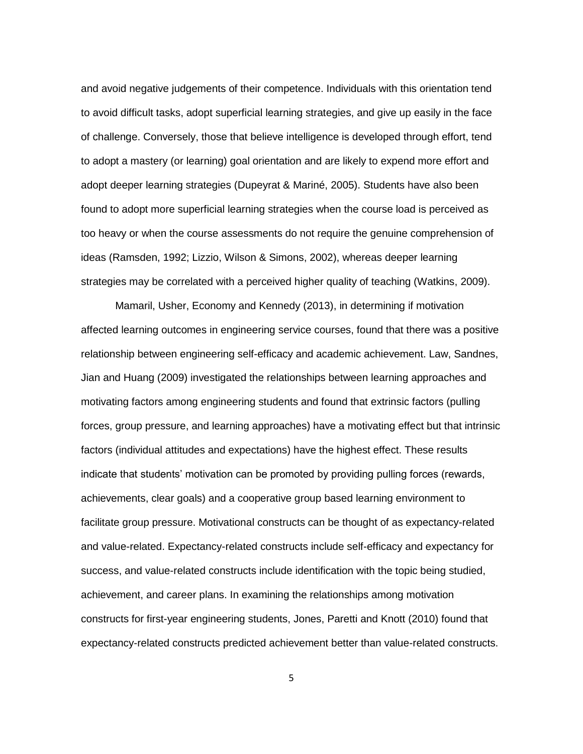and avoid negative judgements of their competence. Individuals with this orientation tend to avoid difficult tasks, adopt superficial learning strategies, and give up easily in the face of challenge. Conversely, those that believe intelligence is developed through effort, tend to adopt a mastery (or learning) goal orientation and are likely to expend more effort and adopt deeper learning strategies (Dupeyrat & Mariné, 2005). Students have also been found to adopt more superficial learning strategies when the course load is perceived as too heavy or when the course assessments do not require the genuine comprehension of ideas (Ramsden, 1992; Lizzio, Wilson & Simons, 2002), whereas deeper learning strategies may be correlated with a perceived higher quality of teaching (Watkins, 2009).

Mamaril, Usher, Economy and Kennedy (2013), in determining if motivation affected learning outcomes in engineering service courses, found that there was a positive relationship between engineering self-efficacy and academic achievement. Law, Sandnes, Jian and Huang (2009) investigated the relationships between learning approaches and motivating factors among engineering students and found that extrinsic factors (pulling forces, group pressure, and learning approaches) have a motivating effect but that intrinsic factors (individual attitudes and expectations) have the highest effect. These results indicate that students' motivation can be promoted by providing pulling forces (rewards, achievements, clear goals) and a cooperative group based learning environment to facilitate group pressure. Motivational constructs can be thought of as expectancy-related and value-related. Expectancy-related constructs include self-efficacy and expectancy for success, and value-related constructs include identification with the topic being studied, achievement, and career plans. In examining the relationships among motivation constructs for first-year engineering students, Jones, Paretti and Knott (2010) found that expectancy-related constructs predicted achievement better than value-related constructs.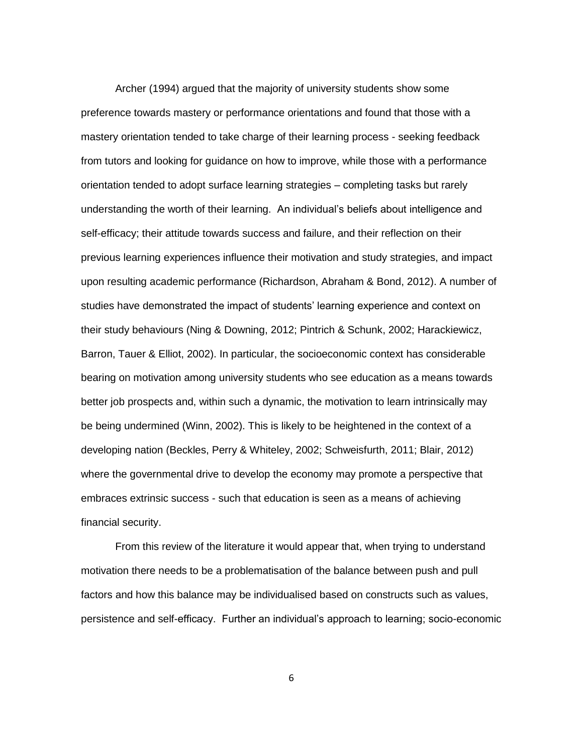Archer (1994) argued that the majority of university students show some preference towards mastery or performance orientations and found that those with a mastery orientation tended to take charge of their learning process - seeking feedback from tutors and looking for guidance on how to improve, while those with a performance orientation tended to adopt surface learning strategies – completing tasks but rarely understanding the worth of their learning. An individual's beliefs about intelligence and self-efficacy; their attitude towards success and failure, and their reflection on their previous learning experiences influence their motivation and study strategies, and impact upon resulting academic performance (Richardson, Abraham & Bond, 2012). A number of studies have demonstrated the impact of students' learning experience and context on their study behaviours (Ning & Downing, 2012; Pintrich & Schunk, 2002; Harackiewicz, Barron, Tauer & Elliot, 2002). In particular, the socioeconomic context has considerable bearing on motivation among university students who see education as a means towards better job prospects and, within such a dynamic, the motivation to learn intrinsically may be being undermined (Winn, 2002). This is likely to be heightened in the context of a developing nation (Beckles, Perry & Whiteley, 2002; Schweisfurth, 2011; Blair, 2012) where the governmental drive to develop the economy may promote a perspective that embraces extrinsic success - such that education is seen as a means of achieving financial security.

From this review of the literature it would appear that, when trying to understand motivation there needs to be a problematisation of the balance between push and pull factors and how this balance may be individualised based on constructs such as values, persistence and self-efficacy. Further an individual's approach to learning; socio-economic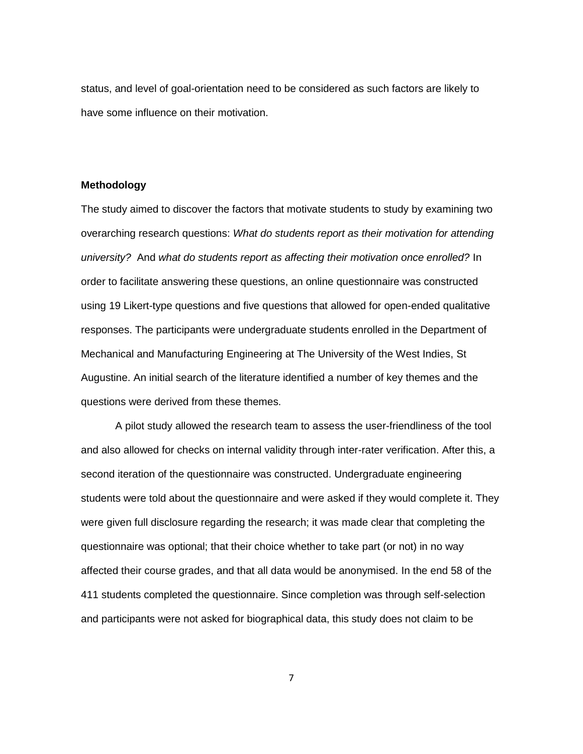status, and level of goal-orientation need to be considered as such factors are likely to have some influence on their motivation.

# **Methodology**

The study aimed to discover the factors that motivate students to study by examining two overarching research questions: *What do students report as their motivation for attending university?* And *what do students report as affecting their motivation once enrolled?* In order to facilitate answering these questions, an online questionnaire was constructed using 19 Likert-type questions and five questions that allowed for open-ended qualitative responses. The participants were undergraduate students enrolled in the Department of Mechanical and Manufacturing Engineering at The University of the West Indies, St Augustine. An initial search of the literature identified a number of key themes and the questions were derived from these themes.

A pilot study allowed the research team to assess the user-friendliness of the tool and also allowed for checks on internal validity through inter-rater verification. After this, a second iteration of the questionnaire was constructed. Undergraduate engineering students were told about the questionnaire and were asked if they would complete it. They were given full disclosure regarding the research; it was made clear that completing the questionnaire was optional; that their choice whether to take part (or not) in no way affected their course grades, and that all data would be anonymised. In the end 58 of the 411 students completed the questionnaire. Since completion was through self-selection and participants were not asked for biographical data, this study does not claim to be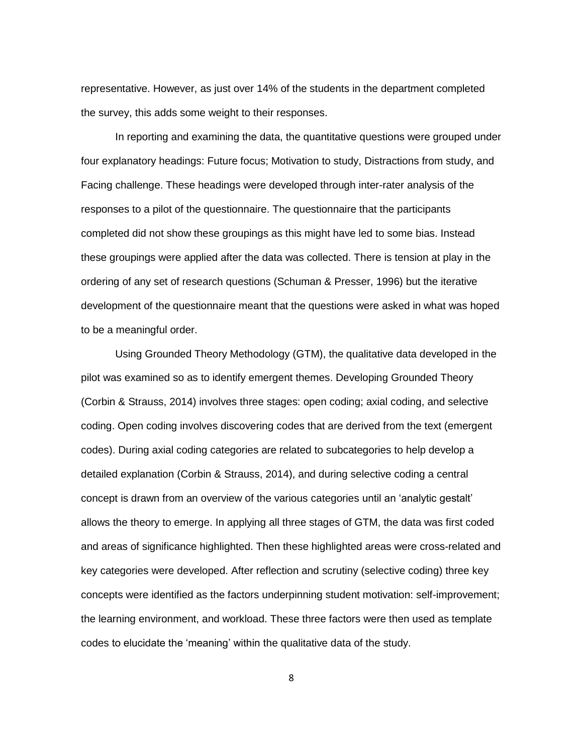representative. However, as just over 14% of the students in the department completed the survey, this adds some weight to their responses.

In reporting and examining the data, the quantitative questions were grouped under four explanatory headings: Future focus; Motivation to study, Distractions from study, and Facing challenge. These headings were developed through inter-rater analysis of the responses to a pilot of the questionnaire. The questionnaire that the participants completed did not show these groupings as this might have led to some bias. Instead these groupings were applied after the data was collected. There is tension at play in the ordering of any set of research questions (Schuman & Presser, 1996) but the iterative development of the questionnaire meant that the questions were asked in what was hoped to be a meaningful order.

Using Grounded Theory Methodology (GTM), the qualitative data developed in the pilot was examined so as to identify emergent themes. Developing Grounded Theory (Corbin & Strauss, 2014) involves three stages: open coding; axial coding, and selective coding. Open coding involves discovering codes that are derived from the text (emergent codes). During axial coding categories are related to subcategories to help develop a detailed explanation (Corbin & Strauss, 2014), and during selective coding a central concept is drawn from an overview of the various categories until an 'analytic gestalt' allows the theory to emerge. In applying all three stages of GTM, the data was first coded and areas of significance highlighted. Then these highlighted areas were cross-related and key categories were developed. After reflection and scrutiny (selective coding) three key concepts were identified as the factors underpinning student motivation: self-improvement; the learning environment, and workload. These three factors were then used as template codes to elucidate the 'meaning' within the qualitative data of the study.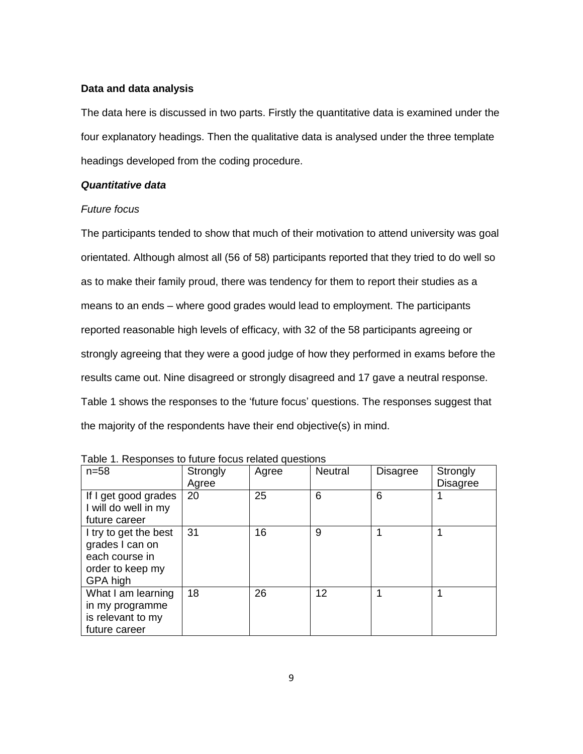## **Data and data analysis**

The data here is discussed in two parts. Firstly the quantitative data is examined under the four explanatory headings. Then the qualitative data is analysed under the three template headings developed from the coding procedure.

## *Quantitative data*

# *Future focus*

The participants tended to show that much of their motivation to attend university was goal orientated. Although almost all (56 of 58) participants reported that they tried to do well so as to make their family proud, there was tendency for them to report their studies as a means to an ends – where good grades would lead to employment. The participants reported reasonable high levels of efficacy, with 32 of the 58 participants agreeing or strongly agreeing that they were a good judge of how they performed in exams before the results came out. Nine disagreed or strongly disagreed and 17 gave a neutral response. Table 1 shows the responses to the 'future focus' questions. The responses suggest that the majority of the respondents have their end objective(s) in mind.

| $n=58$                                                                                     | Strongly<br>Agree | Agree | <b>Neutral</b> | <b>Disagree</b> | Strongly<br><b>Disagree</b> |
|--------------------------------------------------------------------------------------------|-------------------|-------|----------------|-----------------|-----------------------------|
| If I get good grades<br>I will do well in my<br>future career                              | 20                | 25    | 6              | 6               |                             |
| I try to get the best<br>grades I can on<br>each course in<br>order to keep my<br>GPA high | 31                | 16    | 9              |                 |                             |
| What I am learning<br>in my programme<br>is relevant to my<br>future career                | 18                | 26    | 12             |                 |                             |

Table 1. Responses to future focus related questions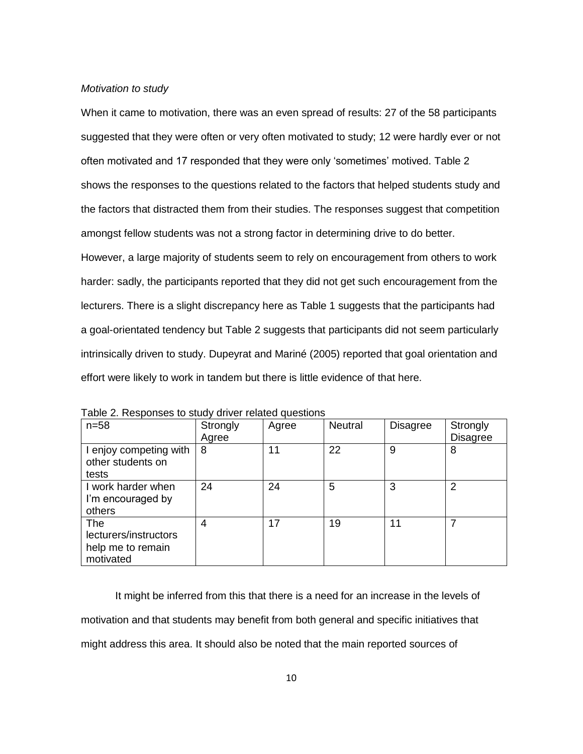## *Motivation to study*

When it came to motivation, there was an even spread of results: 27 of the 58 participants suggested that they were often or very often motivated to study; 12 were hardly ever or not often motivated and 17 responded that they were only 'sometimes' motived. Table 2 shows the responses to the questions related to the factors that helped students study and the factors that distracted them from their studies. The responses suggest that competition amongst fellow students was not a strong factor in determining drive to do better.

However, a large majority of students seem to rely on encouragement from others to work harder: sadly, the participants reported that they did not get such encouragement from the lecturers. There is a slight discrepancy here as Table 1 suggests that the participants had a goal-orientated tendency but Table 2 suggests that participants did not seem particularly intrinsically driven to study. Dupeyrat and Mariné (2005) reported that goal orientation and effort were likely to work in tandem but there is little evidence of that here.

| $n=58$                                                         | Strongly<br>Agree | Agree | <b>Neutral</b> | <b>Disagree</b> | Strongly<br><b>Disagree</b> |
|----------------------------------------------------------------|-------------------|-------|----------------|-----------------|-----------------------------|
| I enjoy competing with<br>other students on<br>tests           | 8                 | 11    | 22             | 9               | 8                           |
| I work harder when<br>I'm encouraged by<br>others              | 24                | 24    | 5              | 3               | 2                           |
| The<br>lecturers/instructors<br>help me to remain<br>motivated | 4                 | 17    | 19             | 11              | 7                           |

Table 2. Responses to study driver related questions

It might be inferred from this that there is a need for an increase in the levels of motivation and that students may benefit from both general and specific initiatives that might address this area. It should also be noted that the main reported sources of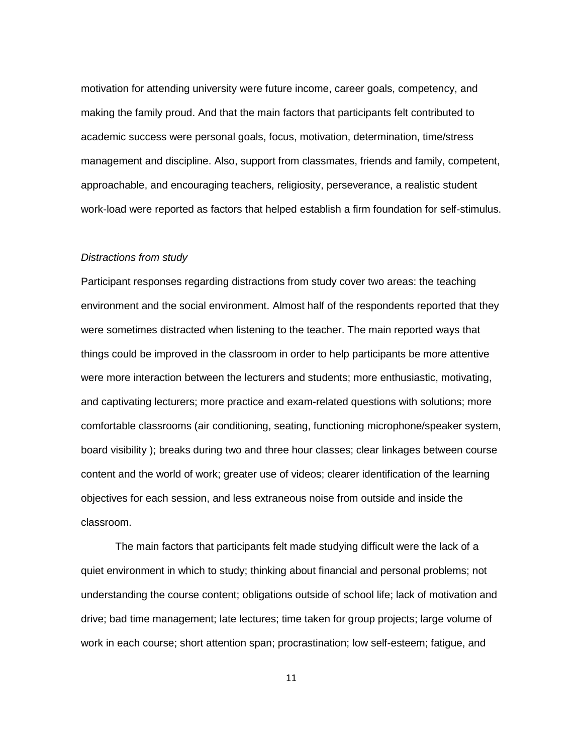motivation for attending university were future income, career goals, competency, and making the family proud. And that the main factors that participants felt contributed to academic success were personal goals, focus, motivation, determination, time/stress management and discipline. Also, support from classmates, friends and family, competent, approachable, and encouraging teachers, religiosity, perseverance, a realistic student work-load were reported as factors that helped establish a firm foundation for self-stimulus.

### *Distractions from study*

Participant responses regarding distractions from study cover two areas: the teaching environment and the social environment. Almost half of the respondents reported that they were sometimes distracted when listening to the teacher. The main reported ways that things could be improved in the classroom in order to help participants be more attentive were more interaction between the lecturers and students; more enthusiastic, motivating, and captivating lecturers; more practice and exam-related questions with solutions; more comfortable classrooms (air conditioning, seating, functioning microphone/speaker system, board visibility ); breaks during two and three hour classes; clear linkages between course content and the world of work; greater use of videos; clearer identification of the learning objectives for each session, and less extraneous noise from outside and inside the classroom.

The main factors that participants felt made studying difficult were the lack of a quiet environment in which to study; thinking about financial and personal problems; not understanding the course content; obligations outside of school life; lack of motivation and drive; bad time management; late lectures; time taken for group projects; large volume of work in each course; short attention span; procrastination; low self-esteem; fatigue, and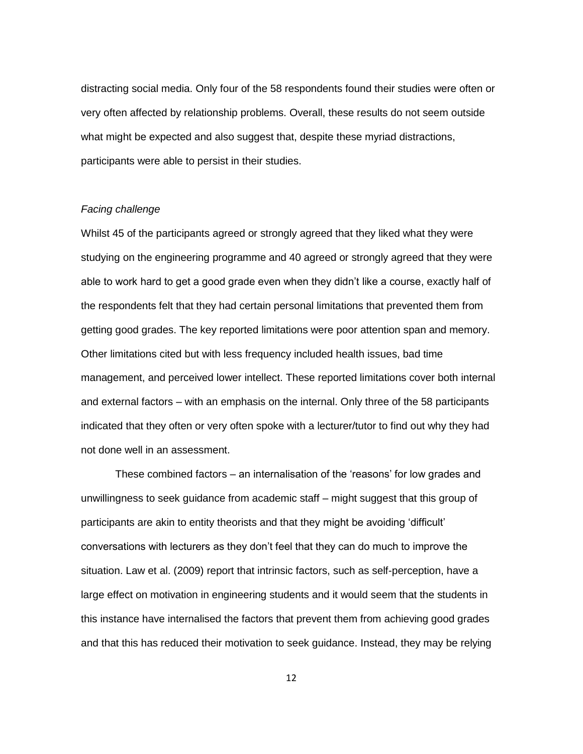distracting social media. Only four of the 58 respondents found their studies were often or very often affected by relationship problems. Overall, these results do not seem outside what might be expected and also suggest that, despite these myriad distractions, participants were able to persist in their studies.

## *Facing challenge*

Whilst 45 of the participants agreed or strongly agreed that they liked what they were studying on the engineering programme and 40 agreed or strongly agreed that they were able to work hard to get a good grade even when they didn't like a course, exactly half of the respondents felt that they had certain personal limitations that prevented them from getting good grades. The key reported limitations were poor attention span and memory. Other limitations cited but with less frequency included health issues, bad time management, and perceived lower intellect. These reported limitations cover both internal and external factors – with an emphasis on the internal. Only three of the 58 participants indicated that they often or very often spoke with a lecturer/tutor to find out why they had not done well in an assessment.

These combined factors – an internalisation of the 'reasons' for low grades and unwillingness to seek guidance from academic staff – might suggest that this group of participants are akin to entity theorists and that they might be avoiding 'difficult' conversations with lecturers as they don't feel that they can do much to improve the situation. Law et al. (2009) report that intrinsic factors, such as self-perception, have a large effect on motivation in engineering students and it would seem that the students in this instance have internalised the factors that prevent them from achieving good grades and that this has reduced their motivation to seek guidance. Instead, they may be relying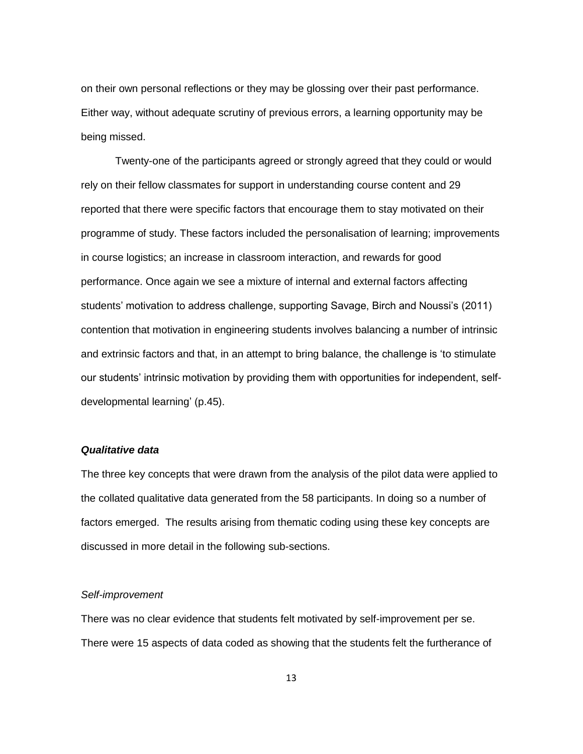on their own personal reflections or they may be glossing over their past performance. Either way, without adequate scrutiny of previous errors, a learning opportunity may be being missed.

Twenty-one of the participants agreed or strongly agreed that they could or would rely on their fellow classmates for support in understanding course content and 29 reported that there were specific factors that encourage them to stay motivated on their programme of study. These factors included the personalisation of learning; improvements in course logistics; an increase in classroom interaction, and rewards for good performance. Once again we see a mixture of internal and external factors affecting students' motivation to address challenge, supporting Savage, Birch and Noussi's (2011) contention that motivation in engineering students involves balancing a number of intrinsic and extrinsic factors and that, in an attempt to bring balance, the challenge is 'to stimulate our students' intrinsic motivation by providing them with opportunities for independent, selfdevelopmental learning' (p.45).

# *Qualitative data*

The three key concepts that were drawn from the analysis of the pilot data were applied to the collated qualitative data generated from the 58 participants. In doing so a number of factors emerged. The results arising from thematic coding using these key concepts are discussed in more detail in the following sub-sections.

#### *Self-improvement*

There was no clear evidence that students felt motivated by self-improvement per se. There were 15 aspects of data coded as showing that the students felt the furtherance of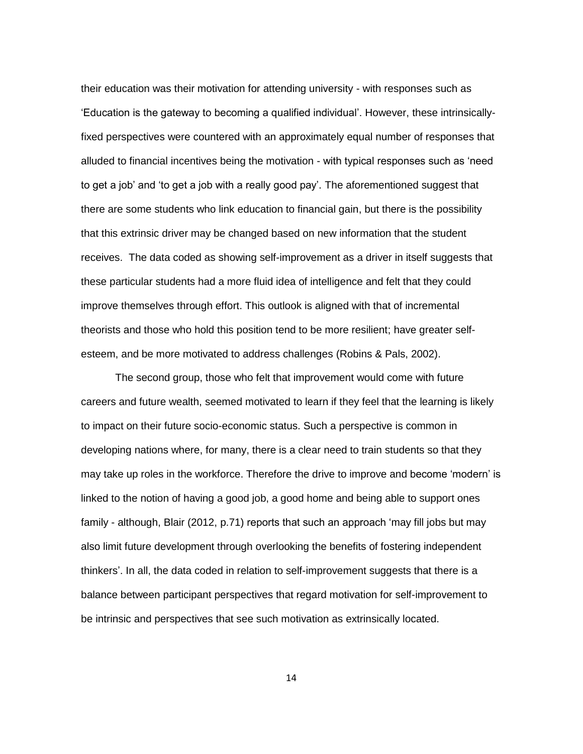their education was their motivation for attending university - with responses such as 'Education is the gateway to becoming a qualified individual'. However, these intrinsicallyfixed perspectives were countered with an approximately equal number of responses that alluded to financial incentives being the motivation - with typical responses such as 'need to get a job' and 'to get a job with a really good pay'. The aforementioned suggest that there are some students who link education to financial gain, but there is the possibility that this extrinsic driver may be changed based on new information that the student receives. The data coded as showing self-improvement as a driver in itself suggests that these particular students had a more fluid idea of intelligence and felt that they could improve themselves through effort. This outlook is aligned with that of incremental theorists and those who hold this position tend to be more resilient; have greater selfesteem, and be more motivated to address challenges (Robins & Pals, 2002).

The second group, those who felt that improvement would come with future careers and future wealth, seemed motivated to learn if they feel that the learning is likely to impact on their future socio-economic status. Such a perspective is common in developing nations where, for many, there is a clear need to train students so that they may take up roles in the workforce. Therefore the drive to improve and become 'modern' is linked to the notion of having a good job, a good home and being able to support ones family - although, Blair (2012, p.71) reports that such an approach 'may fill jobs but may also limit future development through overlooking the benefits of fostering independent thinkers'. In all, the data coded in relation to self-improvement suggests that there is a balance between participant perspectives that regard motivation for self-improvement to be intrinsic and perspectives that see such motivation as extrinsically located.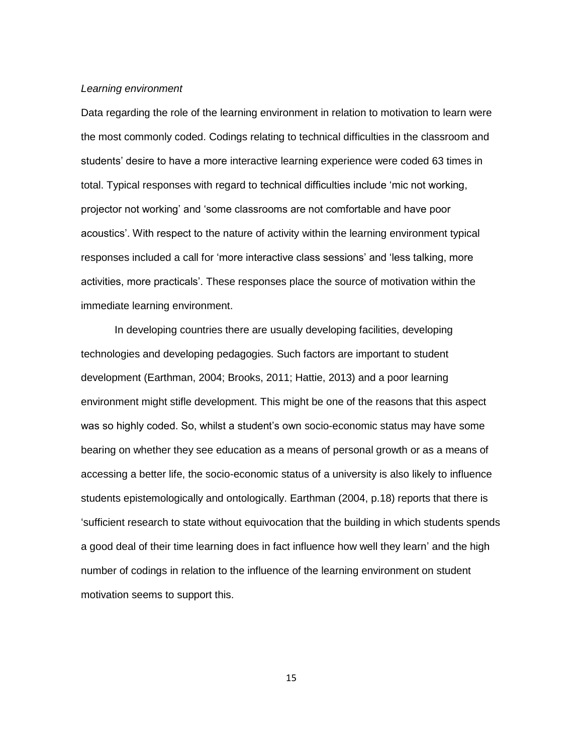## *Learning environment*

Data regarding the role of the learning environment in relation to motivation to learn were the most commonly coded. Codings relating to technical difficulties in the classroom and students' desire to have a more interactive learning experience were coded 63 times in total. Typical responses with regard to technical difficulties include 'mic not working, projector not working' and 'some classrooms are not comfortable and have poor acoustics'. With respect to the nature of activity within the learning environment typical responses included a call for 'more interactive class sessions' and 'less talking, more activities, more practicals'. These responses place the source of motivation within the immediate learning environment.

In developing countries there are usually developing facilities, developing technologies and developing pedagogies. Such factors are important to student development (Earthman, 2004; Brooks, 2011; Hattie, 2013) and a poor learning environment might stifle development. This might be one of the reasons that this aspect was so highly coded. So, whilst a student's own socio-economic status may have some bearing on whether they see education as a means of personal growth or as a means of accessing a better life, the socio-economic status of a university is also likely to influence students epistemologically and ontologically. Earthman (2004, p.18) reports that there is 'sufficient research to state without equivocation that the building in which students spends a good deal of their time learning does in fact influence how well they learn' and the high number of codings in relation to the influence of the learning environment on student motivation seems to support this.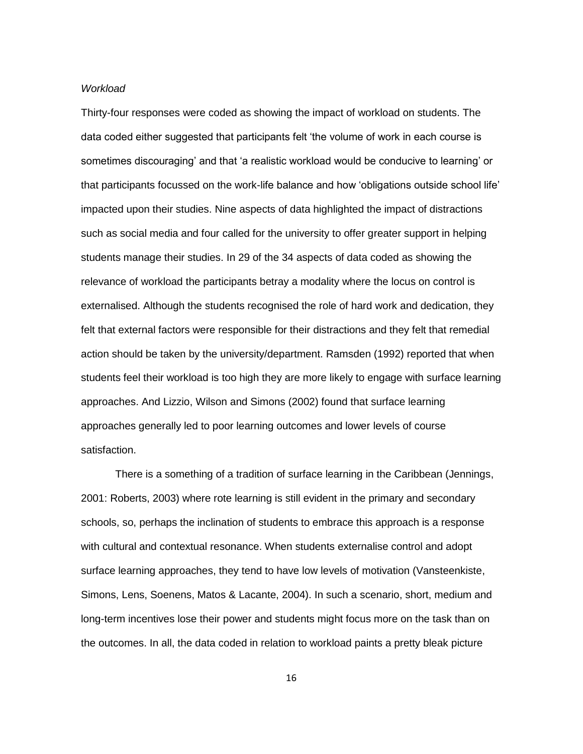### *Workload*

Thirty-four responses were coded as showing the impact of workload on students. The data coded either suggested that participants felt 'the volume of work in each course is sometimes discouraging' and that 'a realistic workload would be conducive to learning' or that participants focussed on the work-life balance and how 'obligations outside school life' impacted upon their studies. Nine aspects of data highlighted the impact of distractions such as social media and four called for the university to offer greater support in helping students manage their studies. In 29 of the 34 aspects of data coded as showing the relevance of workload the participants betray a modality where the locus on control is externalised. Although the students recognised the role of hard work and dedication, they felt that external factors were responsible for their distractions and they felt that remedial action should be taken by the university/department. Ramsden (1992) reported that when students feel their workload is too high they are more likely to engage with surface learning approaches. And Lizzio, Wilson and Simons (2002) found that surface learning approaches generally led to poor learning outcomes and lower levels of course satisfaction.

There is a something of a tradition of surface learning in the Caribbean (Jennings, 2001: Roberts, 2003) where rote learning is still evident in the primary and secondary schools, so, perhaps the inclination of students to embrace this approach is a response with cultural and contextual resonance. When students externalise control and adopt surface learning approaches, they tend to have low levels of motivation (Vansteenkiste, Simons, Lens, Soenens, Matos & Lacante, 2004). In such a scenario, short, medium and long-term incentives lose their power and students might focus more on the task than on the outcomes. In all, the data coded in relation to workload paints a pretty bleak picture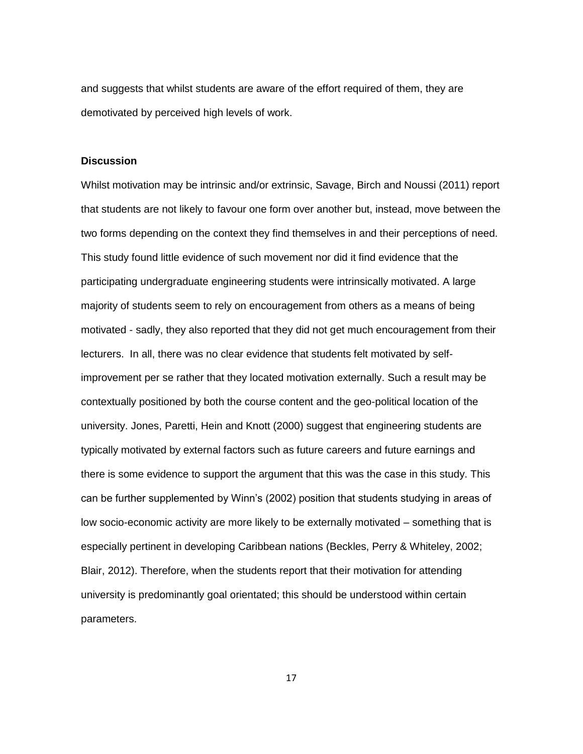and suggests that whilst students are aware of the effort required of them, they are demotivated by perceived high levels of work.

#### **Discussion**

Whilst motivation may be intrinsic and/or extrinsic, Savage, Birch and Noussi (2011) report that students are not likely to favour one form over another but, instead, move between the two forms depending on the context they find themselves in and their perceptions of need. This study found little evidence of such movement nor did it find evidence that the participating undergraduate engineering students were intrinsically motivated. A large majority of students seem to rely on encouragement from others as a means of being motivated - sadly, they also reported that they did not get much encouragement from their lecturers. In all, there was no clear evidence that students felt motivated by selfimprovement per se rather that they located motivation externally. Such a result may be contextually positioned by both the course content and the geo-political location of the university. Jones, Paretti, Hein and Knott (2000) suggest that engineering students are typically motivated by external factors such as future careers and future earnings and there is some evidence to support the argument that this was the case in this study. This can be further supplemented by Winn's (2002) position that students studying in areas of low socio-economic activity are more likely to be externally motivated – something that is especially pertinent in developing Caribbean nations (Beckles, Perry & Whiteley, 2002; Blair, 2012). Therefore, when the students report that their motivation for attending university is predominantly goal orientated; this should be understood within certain parameters.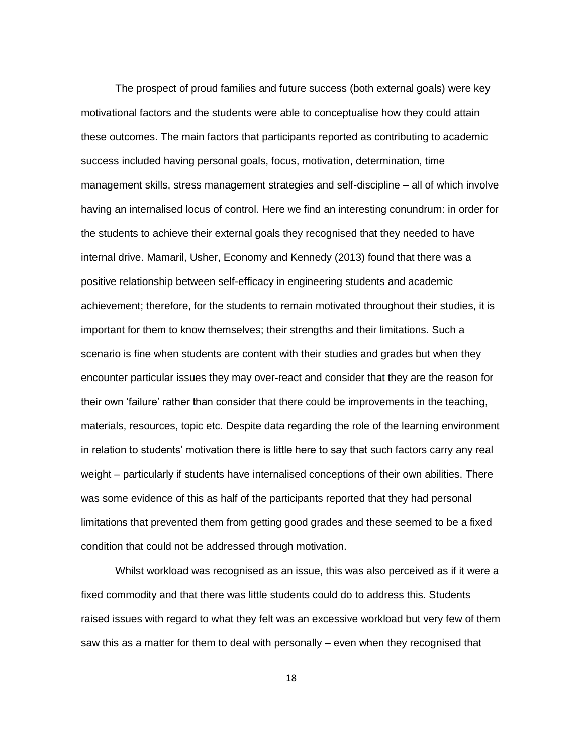The prospect of proud families and future success (both external goals) were key motivational factors and the students were able to conceptualise how they could attain these outcomes. The main factors that participants reported as contributing to academic success included having personal goals, focus, motivation, determination, time management skills, stress management strategies and self-discipline – all of which involve having an internalised locus of control. Here we find an interesting conundrum: in order for the students to achieve their external goals they recognised that they needed to have internal drive. Mamaril, Usher, Economy and Kennedy (2013) found that there was a positive relationship between self-efficacy in engineering students and academic achievement; therefore, for the students to remain motivated throughout their studies, it is important for them to know themselves; their strengths and their limitations. Such a scenario is fine when students are content with their studies and grades but when they encounter particular issues they may over-react and consider that they are the reason for their own 'failure' rather than consider that there could be improvements in the teaching, materials, resources, topic etc. Despite data regarding the role of the learning environment in relation to students' motivation there is little here to say that such factors carry any real weight – particularly if students have internalised conceptions of their own abilities. There was some evidence of this as half of the participants reported that they had personal limitations that prevented them from getting good grades and these seemed to be a fixed condition that could not be addressed through motivation.

Whilst workload was recognised as an issue, this was also perceived as if it were a fixed commodity and that there was little students could do to address this. Students raised issues with regard to what they felt was an excessive workload but very few of them saw this as a matter for them to deal with personally – even when they recognised that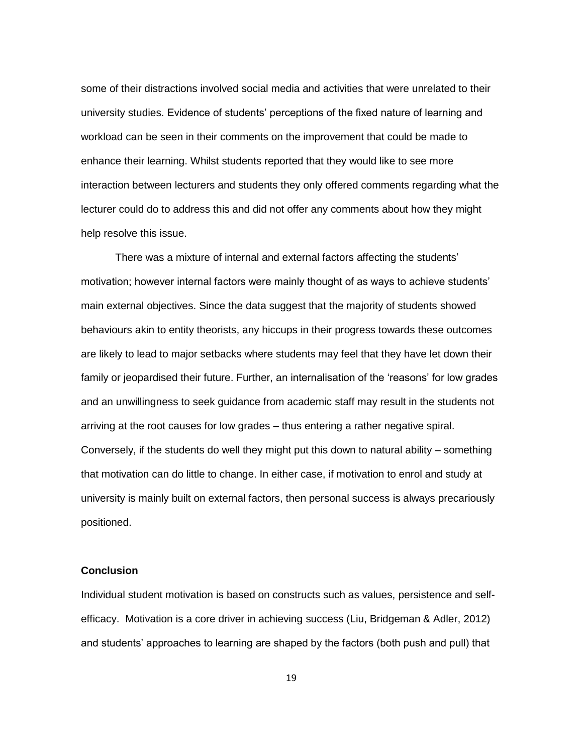some of their distractions involved social media and activities that were unrelated to their university studies. Evidence of students' perceptions of the fixed nature of learning and workload can be seen in their comments on the improvement that could be made to enhance their learning. Whilst students reported that they would like to see more interaction between lecturers and students they only offered comments regarding what the lecturer could do to address this and did not offer any comments about how they might help resolve this issue.

There was a mixture of internal and external factors affecting the students' motivation; however internal factors were mainly thought of as ways to achieve students' main external objectives. Since the data suggest that the majority of students showed behaviours akin to entity theorists, any hiccups in their progress towards these outcomes are likely to lead to major setbacks where students may feel that they have let down their family or jeopardised their future. Further, an internalisation of the 'reasons' for low grades and an unwillingness to seek guidance from academic staff may result in the students not arriving at the root causes for low grades – thus entering a rather negative spiral. Conversely, if the students do well they might put this down to natural ability – something that motivation can do little to change. In either case, if motivation to enrol and study at university is mainly built on external factors, then personal success is always precariously positioned.

## **Conclusion**

Individual student motivation is based on constructs such as values, persistence and selfefficacy. Motivation is a core driver in achieving success (Liu, Bridgeman & Adler, 2012) and students' approaches to learning are shaped by the factors (both push and pull) that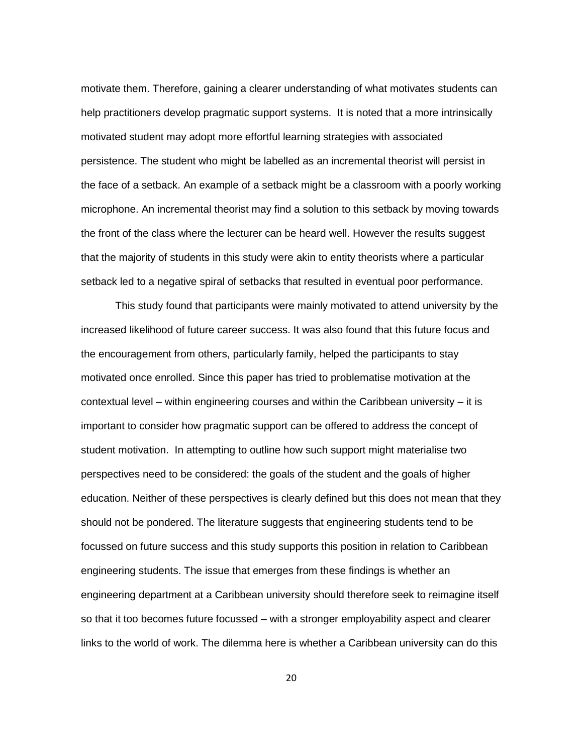motivate them. Therefore, gaining a clearer understanding of what motivates students can help practitioners develop pragmatic support systems. It is noted that a more intrinsically motivated student may adopt more effortful learning strategies with associated persistence. The student who might be labelled as an incremental theorist will persist in the face of a setback. An example of a setback might be a classroom with a poorly working microphone. An incremental theorist may find a solution to this setback by moving towards the front of the class where the lecturer can be heard well. However the results suggest that the majority of students in this study were akin to entity theorists where a particular setback led to a negative spiral of setbacks that resulted in eventual poor performance.

This study found that participants were mainly motivated to attend university by the increased likelihood of future career success. It was also found that this future focus and the encouragement from others, particularly family, helped the participants to stay motivated once enrolled. Since this paper has tried to problematise motivation at the contextual level – within engineering courses and within the Caribbean university – it is important to consider how pragmatic support can be offered to address the concept of student motivation. In attempting to outline how such support might materialise two perspectives need to be considered: the goals of the student and the goals of higher education. Neither of these perspectives is clearly defined but this does not mean that they should not be pondered. The literature suggests that engineering students tend to be focussed on future success and this study supports this position in relation to Caribbean engineering students. The issue that emerges from these findings is whether an engineering department at a Caribbean university should therefore seek to reimagine itself so that it too becomes future focussed – with a stronger employability aspect and clearer links to the world of work. The dilemma here is whether a Caribbean university can do this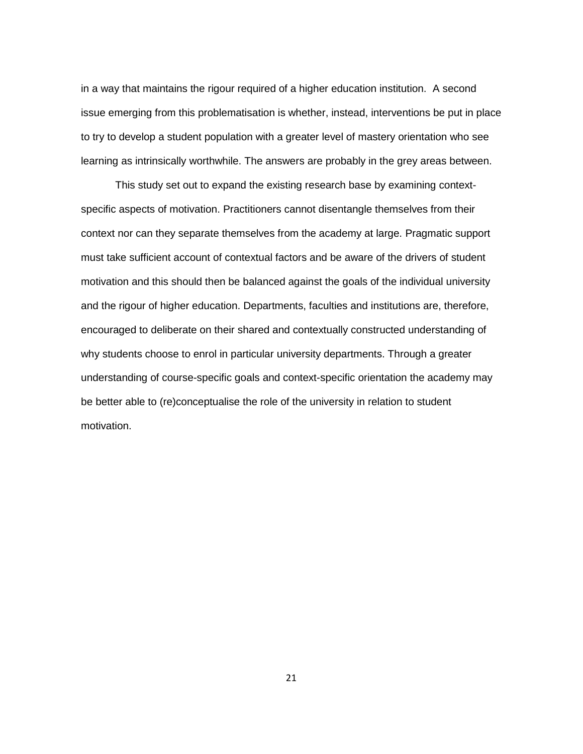in a way that maintains the rigour required of a higher education institution. A second issue emerging from this problematisation is whether, instead, interventions be put in place to try to develop a student population with a greater level of mastery orientation who see learning as intrinsically worthwhile. The answers are probably in the grey areas between.

This study set out to expand the existing research base by examining contextspecific aspects of motivation. Practitioners cannot disentangle themselves from their context nor can they separate themselves from the academy at large. Pragmatic support must take sufficient account of contextual factors and be aware of the drivers of student motivation and this should then be balanced against the goals of the individual university and the rigour of higher education. Departments, faculties and institutions are, therefore, encouraged to deliberate on their shared and contextually constructed understanding of why students choose to enrol in particular university departments. Through a greater understanding of course-specific goals and context-specific orientation the academy may be better able to (re)conceptualise the role of the university in relation to student motivation.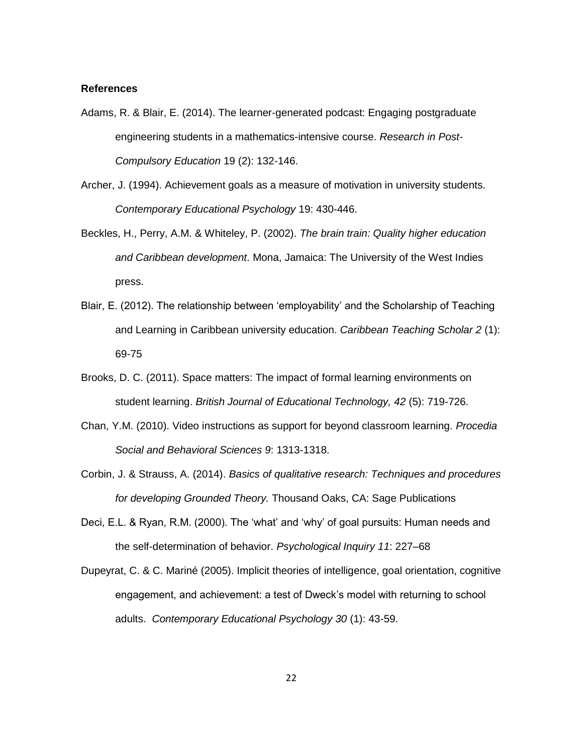#### **References**

- Adams, R. & Blair, E. (2014). The learner-generated podcast: Engaging postgraduate engineering students in a mathematics-intensive course. *Research in Post-Compulsory Education* 19 (2): 132-146.
- Archer, J. (1994). Achievement goals as a measure of motivation in university students. *Contemporary Educational Psychology* 19: 430-446.
- Beckles, H., Perry, A.M. & Whiteley, P. (2002). *The brain train: Quality higher education and Caribbean development*. Mona, Jamaica: The University of the West Indies press.
- Blair, E. (2012). The relationship between 'employability' and the Scholarship of Teaching and Learning in Caribbean university education. *Caribbean Teaching Scholar 2* (1): 69-75
- Brooks, D. C. (2011). Space matters: The impact of formal learning environments on student learning. *British Journal of Educational Technology, 42* (5): 719-726.
- Chan, Y.M. (2010). Video instructions as support for beyond classroom learning. *Procedia Social and Behavioral Sciences 9*: 1313-1318.
- Corbin, J. & Strauss, A. (2014). *Basics of qualitative research: Techniques and procedures for developing Grounded Theory.* Thousand Oaks, CA: Sage Publications
- Deci, E.L. & Ryan, R.M. (2000). The 'what' and 'why' of goal pursuits: Human needs and the self-determination of behavior. *Psychological Inquiry 11*: 227–68
- Dupeyrat, C. & C. Mariné (2005). Implicit theories of intelligence, goal orientation, cognitive engagement, and achievement: a test of Dweck's model with returning to school adults. *Contemporary Educational Psychology 30* (1): 43-59.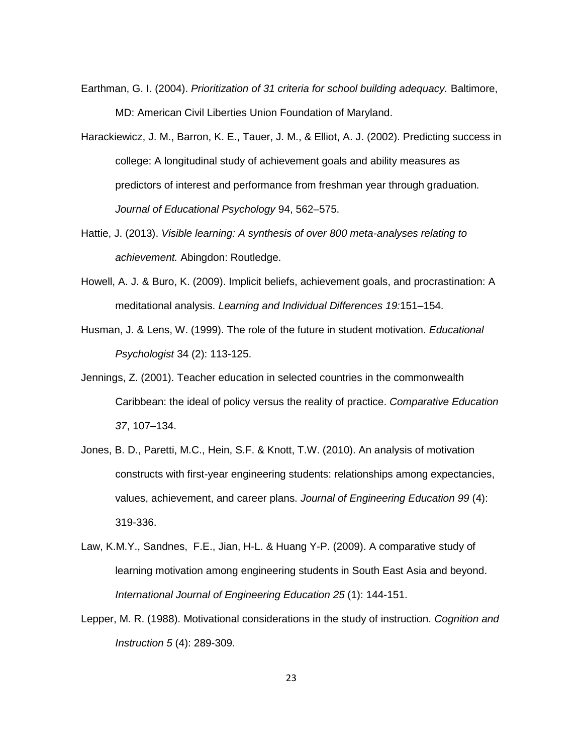- Earthman, G. I. (2004). *Prioritization of 31 criteria for school building adequacy.* Baltimore, MD: American Civil Liberties Union Foundation of Maryland.
- Harackiewicz, J. M., Barron, K. E., Tauer, J. M., & Elliot, A. J. (2002). Predicting success in college: A longitudinal study of achievement goals and ability measures as predictors of interest and performance from freshman year through graduation*. Journal of Educational Psychology* 94, 562–575.
- Hattie, J. (2013). *Visible learning: A synthesis of over 800 meta-analyses relating to achievement.* Abingdon: Routledge.
- Howell, A. J. & Buro, K. (2009). Implicit beliefs, achievement goals, and procrastination: A meditational analysis. *Learning and Individual Differences 19:*151–154.
- Husman, J. & Lens, W. (1999). The role of the future in student motivation. *Educational Psychologist* 34 (2): 113-125.
- Jennings, Z. (2001). Teacher education in selected countries in the commonwealth Caribbean: the ideal of policy versus the reality of practice. *Comparative Education 37*, 107–134.
- Jones, B. D., Paretti, M.C., Hein, S.F. & Knott, T.W. (2010). An analysis of motivation constructs with first-year engineering students: relationships among expectancies, values, achievement, and career plans. *Journal of Engineering Education 99* (4): 319-336.
- Law, K.M.Y., Sandnes, F.E., Jian, H-L. & Huang Y-P. (2009). A comparative study of learning motivation among engineering students in South East Asia and beyond. *International Journal of Engineering Education 25* (1): 144-151.
- Lepper, M. R. (1988). Motivational considerations in the study of instruction. *Cognition and Instruction 5* (4): 289-309.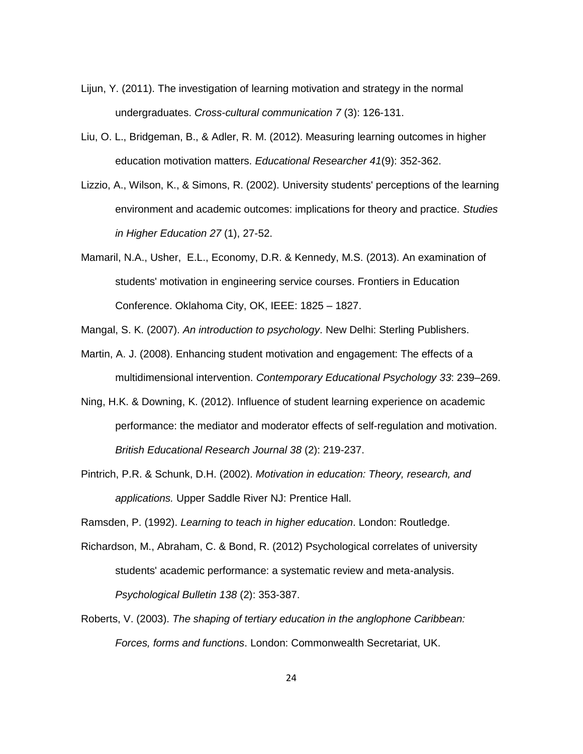- Lijun, Y. (2011). The investigation of learning motivation and strategy in the normal undergraduates. *Cross-cultural communication 7* (3): 126-131.
- Liu, O. L., Bridgeman, B., & Adler, R. M. (2012). Measuring learning outcomes in higher education motivation matters. *Educational Researcher 41*(9): 352-362.
- Lizzio, A., Wilson, K., & Simons, R. (2002). University students' perceptions of the learning environment and academic outcomes: implications for theory and practice. *Studies in Higher Education 27* (1), 27-52.
- Mamaril, N.A., Usher, E.L., Economy, D.R. & Kennedy, M.S. (2013). An examination of students' motivation in engineering service courses. Frontiers in Education Conference. Oklahoma City, OK, IEEE: 1825 – 1827.

Mangal, S. K. (2007). *An introduction to psychology*. New Delhi: Sterling Publishers.

- Martin, A. J. (2008). Enhancing student motivation and engagement: The effects of a multidimensional intervention. *Contemporary Educational Psychology 33*: 239–269.
- Ning, H.K. & Downing, K. (2012). Influence of student learning experience on academic performance: the mediator and moderator effects of self-regulation and motivation. *British Educational Research Journal 38* (2): 219-237.
- Pintrich, P.R. & Schunk, D.H. (2002). *Motivation in education: Theory, research, and applications.* Upper Saddle River NJ: Prentice Hall.

Ramsden, P. (1992). *Learning to teach in higher education*. London: Routledge.

- Richardson, M., Abraham, C. & Bond, R. (2012) Psychological correlates of university students' academic performance: a systematic review and meta-analysis. *Psychological Bulletin 138* (2): 353-387.
- Roberts, V. (2003). *The shaping of tertiary education in the anglophone Caribbean: Forces, forms and functions*. London: Commonwealth Secretariat, UK.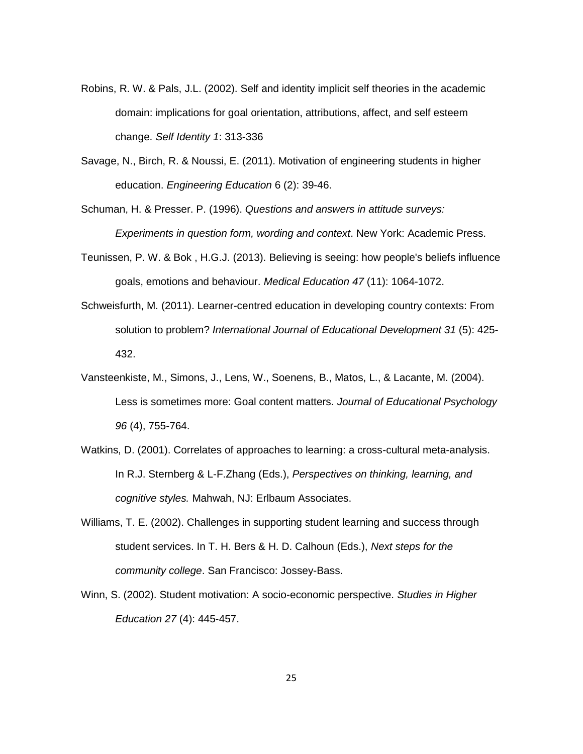- Robins, R. W. & Pals, J.L. (2002). Self and identity implicit self theories in the academic domain: implications for goal orientation, attributions, affect, and self esteem change. *Self Identity 1*: 313-336
- Savage, N., Birch, R. & Noussi, E. (2011). Motivation of engineering students in higher education. *Engineering Education* 6 (2): 39-46.
- Schuman, H. & Presser. P. (1996). *Questions and answers in attitude surveys: Experiments in question form, wording and context*. New York: Academic Press.
- Teunissen, P. W. & Bok , H.G.J. (2013). Believing is seeing: how people's beliefs influence goals, emotions and behaviour. *Medical Education 47* (11): 1064-1072.
- Schweisfurth, M. (2011). Learner-centred education in developing country contexts: From solution to problem? *International Journal of Educational Development 31* (5): 425- 432.
- Vansteenkiste, M., Simons, J., Lens, W., Soenens, B., Matos, L., & Lacante, M. (2004). Less is sometimes more: Goal content matters. *Journal of Educational Psychology 96* (4), 755-764.
- Watkins, D. (2001). Correlates of approaches to learning: a cross-cultural meta-analysis. In R.J. Sternberg & L-F.Zhang (Eds.), *Perspectives on thinking, learning, and cognitive styles.* Mahwah, NJ: Erlbaum Associates.
- Williams, T. E. (2002). Challenges in supporting student learning and success through student services. In T. H. Bers & H. D. Calhoun (Eds.), *Next steps for the community college*. San Francisco: Jossey-Bass.
- Winn, S. (2002). Student motivation: A socio-economic perspective. *Studies in Higher Education 27* (4): 445-457.